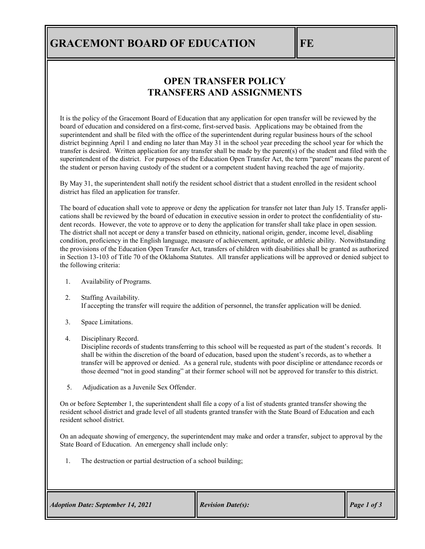# **GRACEMONT BOARD OF EDUCATION FE**

### **OPEN TRANSFER POLICY TRANSFERS AND ASSIGNMENTS**

It is the policy of the Gracemont Board of Education that any application for open transfer will be reviewed by the board of education and considered on a first-come, first-served basis. Applications may be obtained from the superintendent and shall be filed with the office of the superintendent during regular business hours of the school district beginning April 1 and ending no later than May 31 in the school year preceding the school year for which the transfer is desired. Written application for any transfer shall be made by the parent(s) of the student and filed with the superintendent of the district. For purposes of the Education Open Transfer Act, the term "parent" means the parent of the student or person having custody of the student or a competent student having reached the age of majority.

By May 31, the superintendent shall notify the resident school district that a student enrolled in the resident school district has filed an application for transfer.

The board of education shall vote to approve or deny the application for transfer not later than July 15. Transfer applications shall be reviewed by the board of education in executive session in order to protect the confidentiality of student records. However, the vote to approve or to deny the application for transfer shall take place in open session. The district shall not accept or deny a transfer based on ethnicity, national origin, gender, income level, disabling condition, proficiency in the English language, measure of achievement, aptitude, or athletic ability. Notwithstanding the provisions of the Education Open Transfer Act, transfers of children with disabilities shall be granted as authorized in Section 13-103 of Title 70 of the Oklahoma Statutes. All transfer applications will be approved or denied subject to the following criteria:

- 1. Availability of Programs.
- 2. Staffing Availability. If accepting the transfer will require the addition of personnel, the transfer application will be denied.
- 3. Space Limitations.
- 4. Disciplinary Record.

Discipline records of students transferring to this school will be requested as part of the student's records. It shall be within the discretion of the board of education, based upon the student's records, as to whether a transfer will be approved or denied. As a general rule, students with poor discipline or attendance records or those deemed "not in good standing" at their former school will not be approved for transfer to this district.

5. Adjudication as a Juvenile Sex Offender.

On or before September 1, the superintendent shall file a copy of a list of students granted transfer showing the resident school district and grade level of all students granted transfer with the State Board of Education and each resident school district.

On an adequate showing of emergency, the superintendent may make and order a transfer, subject to approval by the State Board of Education. An emergency shall include only:

1. The destruction or partial destruction of a school building;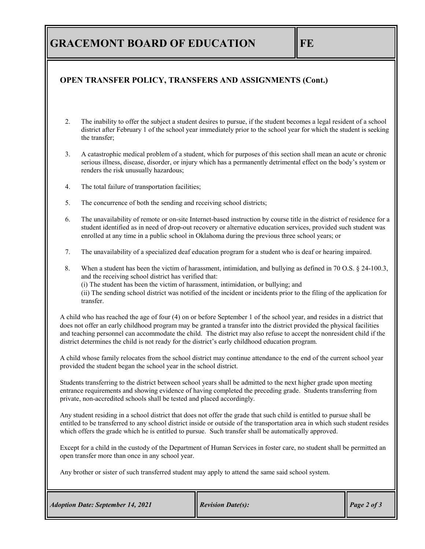## **GRACEMONT BOARD OF EDUCATION FE**

#### **OPEN TRANSFER POLICY, TRANSFERS AND ASSIGNMENTS (Cont.)**

- 2. The inability to offer the subject a student desires to pursue, if the student becomes a legal resident of a school district after February 1 of the school year immediately prior to the school year for which the student is seeking the transfer;
- 3. A catastrophic medical problem of a student, which for purposes of this section shall mean an acute or chronic serious illness, disease, disorder, or injury which has a permanently detrimental effect on the body's system or renders the risk unusually hazardous;
- 4. The total failure of transportation facilities;
- 5. The concurrence of both the sending and receiving school districts;
- 6. The unavailability of remote or on-site Internet-based instruction by course title in the district of residence for a student identified as in need of drop-out recovery or alternative education services, provided such student was enrolled at any time in a public school in Oklahoma during the previous three school years; or
- 7. The unavailability of a specialized deaf education program for a student who is deaf or hearing impaired.
- 8. When a student has been the victim of harassment, intimidation, and bullying as defined in 70 O.S. § 24-100.3, and the receiving school district has verified that:
	- (i) The student has been the victim of harassment, intimidation, or bullying; and

 (ii) The sending school district was notified of the incident or incidents prior to the filing of the application for transfer.

A child who has reached the age of four (4) on or before September 1 of the school year, and resides in a district that does not offer an early childhood program may be granted a transfer into the district provided the physical facilities and teaching personnel can accommodate the child. The district may also refuse to accept the nonresident child if the district determines the child is not ready for the district's early childhood education program.

A child whose family relocates from the school district may continue attendance to the end of the current school year provided the student began the school year in the school district.

Students transferring to the district between school years shall be admitted to the next higher grade upon meeting entrance requirements and showing evidence of having completed the preceding grade. Students transferring from private, non-accredited schools shall be tested and placed accordingly.

Any student residing in a school district that does not offer the grade that such child is entitled to pursue shall be entitled to be transferred to any school district inside or outside of the transportation area in which such student resides which offers the grade which he is entitled to pursue. Such transfer shall be automatically approved.

Except for a child in the custody of the Department of Human Services in foster care, no student shall be permitted an open transfer more than once in any school year.

Any brother or sister of such transferred student may apply to attend the same said school system.

| <b>Adoption Date: September 14, 2021</b> | <b>Revision Date(s):</b> | $\vert$ Page 2 of 3 |
|------------------------------------------|--------------------------|---------------------|
|------------------------------------------|--------------------------|---------------------|